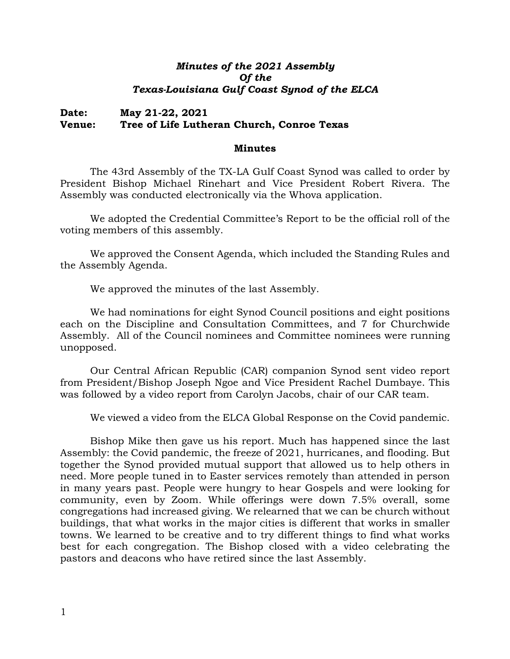## *Minutes of the 2021 Assembly Of the Texas-Louisiana Gulf Coast Synod of the ELCA*

## **Date: May 21-22, 2021 Venue: Tree of Life Lutheran Church, Conroe Texas**

## **Minutes**

The 43rd Assembly of the TX-LA Gulf Coast Synod was called to order by President Bishop Michael Rinehart and Vice President Robert Rivera. The Assembly was conducted electronically via the Whova application.

We adopted the Credential Committee's Report to be the official roll of the voting members of this assembly.

We approved the Consent Agenda, which included the Standing Rules and the Assembly Agenda.

We approved the minutes of the last Assembly.

We had nominations for eight Synod Council positions and eight positions each on the Discipline and Consultation Committees, and 7 for Churchwide Assembly. All of the Council nominees and Committee nominees were running unopposed.

Our Central African Republic (CAR) companion Synod sent video report from President/Bishop Joseph Ngoe and Vice President Rachel Dumbaye. This was followed by a video report from Carolyn Jacobs, chair of our CAR team.

We viewed a video from the ELCA Global Response on the Covid pandemic.

Bishop Mike then gave us his report. Much has happened since the last Assembly: the Covid pandemic, the freeze of 2021, hurricanes, and flooding. But together the Synod provided mutual support that allowed us to help others in need. More people tuned in to Easter services remotely than attended in person in many years past. People were hungry to hear Gospels and were looking for community, even by Zoom. While offerings were down 7.5% overall, some congregations had increased giving. We relearned that we can be church without buildings, that what works in the major cities is different that works in smaller towns. We learned to be creative and to try different things to find what works best for each congregation. The Bishop closed with a video celebrating the pastors and deacons who have retired since the last Assembly.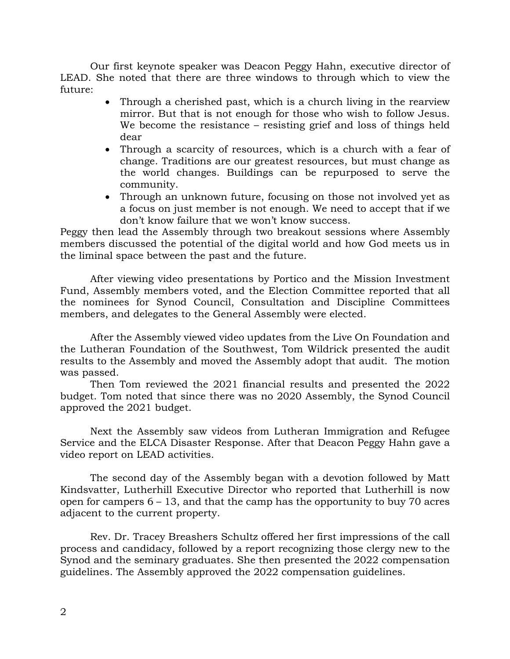Our first keynote speaker was Deacon Peggy Hahn, executive director of LEAD. She noted that there are three windows to through which to view the future:

- Through a cherished past, which is a church living in the rearview mirror. But that is not enough for those who wish to follow Jesus. We become the resistance – resisting grief and loss of things held dear
- Through a scarcity of resources, which is a church with a fear of change. Traditions are our greatest resources, but must change as the world changes. Buildings can be repurposed to serve the community.
- Through an unknown future, focusing on those not involved yet as a focus on just member is not enough. We need to accept that if we don't know failure that we won't know success.

Peggy then lead the Assembly through two breakout sessions where Assembly members discussed the potential of the digital world and how God meets us in the liminal space between the past and the future.

After viewing video presentations by Portico and the Mission Investment Fund, Assembly members voted, and the Election Committee reported that all the nominees for Synod Council, Consultation and Discipline Committees members, and delegates to the General Assembly were elected.

After the Assembly viewed video updates from the Live On Foundation and the Lutheran Foundation of the Southwest, Tom Wildrick presented the audit results to the Assembly and moved the Assembly adopt that audit. The motion was passed.

Then Tom reviewed the 2021 financial results and presented the 2022 budget. Tom noted that since there was no 2020 Assembly, the Synod Council approved the 2021 budget.

Next the Assembly saw videos from Lutheran Immigration and Refugee Service and the ELCA Disaster Response. After that Deacon Peggy Hahn gave a video report on LEAD activities.

The second day of the Assembly began with a devotion followed by Matt Kindsvatter, Lutherhill Executive Director who reported that Lutherhill is now open for campers 6 – 13, and that the camp has the opportunity to buy 70 acres adjacent to the current property.

Rev. Dr. Tracey Breashers Schultz offered her first impressions of the call process and candidacy, followed by a report recognizing those clergy new to the Synod and the seminary graduates. She then presented the 2022 compensation guidelines. The Assembly approved the 2022 compensation guidelines.